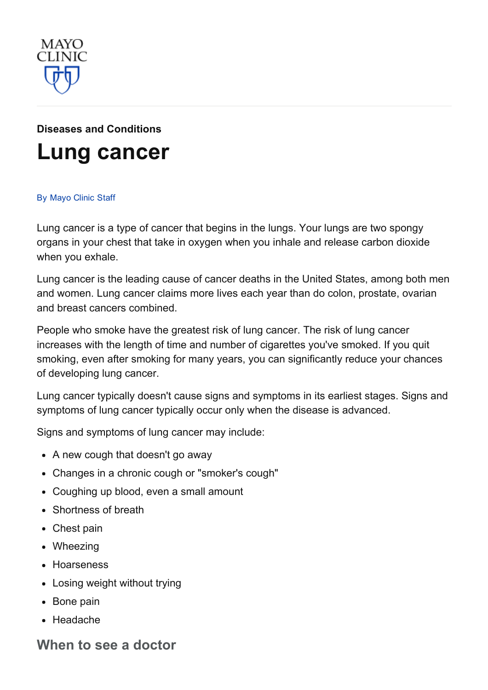

# Diseases and [Conditions](http://www.mayoclinic.org/diseases-conditions) Lung [cancer](http://www.mayoclinic.org/diseases-conditions/lung-cancer/basics/definition/con-20025531)

#### By [Mayo](http://www.mayoclinic.org/about-this-site/welcome) Clinic Staff

Lung cancer is a type of cancer that begins in the lungs. Your lungs are two spongy organs in your chest that take in oxygen when you inhale and release carbon dioxide when you exhale.

Lung cancer is the leading cause of cancer deaths in the United States, among both men and women. Lung cancer claims more lives each year than do colon, prostate, ovarian and breast cancers combined.

People who smoke have the greatest risk of lung cancer. The risk of lung cancer increases with the length of time and number of cigarettes you've smoked. If you quit smoking, even after smoking for many years, you can significantly reduce your chances of developing lung cancer.

Lung cancer typically doesn't cause signs and symptoms in its earliest stages. Signs and symptoms of lung cancer typically occur only when the disease is advanced.

Signs and symptoms of lung cancer may include:

- A new cough that doesn't go away
- Changes in a chronic cough or "smoker's cough"
- Coughing up blood, even a small amount
- Shortness of breath
- Chest pain
- Wheezing
- Hoarseness
- Losing weight without trying
- Bone pain
- Headache

#### When to see a doctor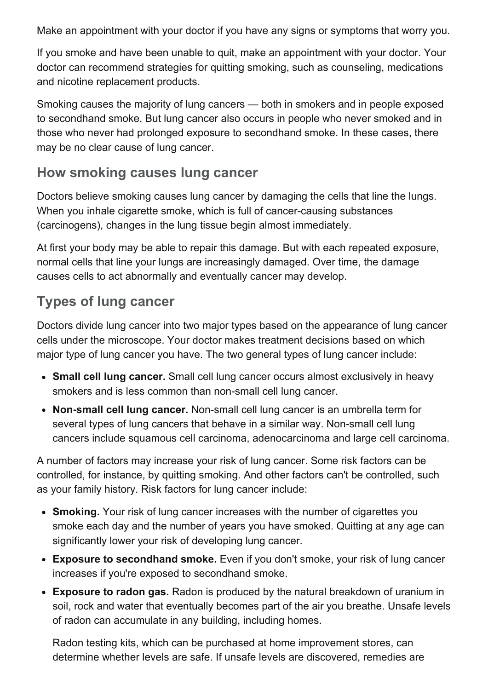Make an appointment with your doctor if you have any signs or symptoms that worry you.

If you smoke and have been unable to quit, make an appointment with your doctor. Your doctor can recommend strategies for quitting smoking, such as counseling, medications and nicotine replacement products.

Smoking causes the majority of lung cancers — both in smokers and in people exposed to secondhand smoke. But lung cancer also occurs in people who never smoked and in those who never had prolonged exposure to secondhand smoke. In these cases, there may be no clear cause of lung cancer.

#### How smoking causes lung cancer

Doctors believe smoking causes lung cancer by damaging the cells that line the lungs. When you inhale cigarette smoke, which is full of cancer-causing substances (carcinogens), changes in the lung tissue begin almost immediately.

At first your body may be able to repair this damage. But with each repeated exposure, normal cells that line your lungs are increasingly damaged. Over time, the damage causes cells to act abnormally and eventually cancer may develop.

#### Types of lung cancer

Doctors divide lung cancer into two major types based on the appearance of lung cancer cells under the microscope. Your doctor makes treatment decisions based on which major type of lung cancer you have. The two general types of lung cancer include:

- Small cell lung cancer. Small cell lung cancer occurs almost exclusively in heavy smokers and is less common than non-small cell lung cancer.
- Non-small cell lung cancer. Non-small cell lung cancer is an umbrella term for several types of lung cancers that behave in a similar way. Non-small cell lung cancers include squamous cell carcinoma, adenocarcinoma and large cell carcinoma.

A number of factors may increase your risk of lung cancer. Some risk factors can be controlled, for instance, by quitting smoking. And other factors can't be controlled, such as your family history. Risk factors for lung cancer include:

- Smoking. Your risk of lung cancer increases with the number of cigarettes you smoke each day and the number of years you have smoked. Quitting at any age can significantly lower your risk of developing lung cancer.
- Exposure to secondhand smoke. Even if you don't smoke, your risk of lung cancer increases if you're exposed to secondhand smoke.
- Exposure to radon gas. Radon is produced by the natural breakdown of uranium in soil, rock and water that eventually becomes part of the air you breathe. Unsafe levels of radon can accumulate in any building, including homes.

Radon testing kits, which can be purchased at home improvement stores, can determine whether levels are safe. If unsafe levels are discovered, remedies are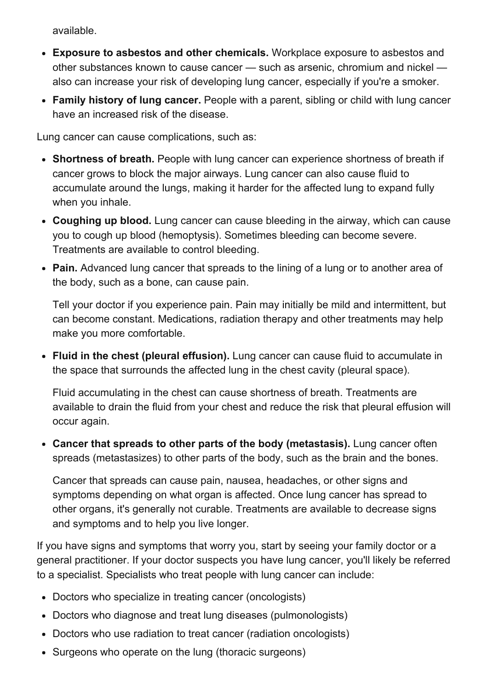available.

- Exposure to asbestos and other chemicals. Workplace exposure to asbestos and other substances known to cause cancer — such as arsenic, chromium and nickel also can increase your risk of developing lung cancer, especially if you're a smoker.
- Family history of lung cancer. People with a parent, sibling or child with lung cancer have an increased risk of the disease.

Lung cancer can cause complications, such as:

- Shortness of breath. People with lung cancer can experience shortness of breath if cancer grows to block the major airways. Lung cancer can also cause fluid to accumulate around the lungs, making it harder for the affected lung to expand fully when you inhale.
- Coughing up blood. Lung cancer can cause bleeding in the airway, which can cause you to cough up blood (hemoptysis). Sometimes bleeding can become severe. Treatments are available to control bleeding.
- Pain. Advanced lung cancer that spreads to the lining of a lung or to another area of the body, such as a bone, can cause pain.

Tell your doctor if you experience pain. Pain may initially be mild and intermittent, but can become constant. Medications, radiation therapy and other treatments may help make you more comfortable.

Fluid in the chest (pleural effusion). Lung cancer can cause fluid to accumulate in the space that surrounds the affected lung in the chest cavity (pleural space).

Fluid accumulating in the chest can cause shortness of breath. Treatments are available to drain the fluid from your chest and reduce the risk that pleural effusion will occur again.

Cancer that spreads to other parts of the body (metastasis). Lung cancer often spreads (metastasizes) to other parts of the body, such as the brain and the bones.

Cancer that spreads can cause pain, nausea, headaches, or other signs and symptoms depending on what organ is affected. Once lung cancer has spread to other organs, it's generally not curable. Treatments are available to decrease signs and symptoms and to help you live longer.

If you have signs and symptoms that worry you, start by seeing your family doctor or a general practitioner. If your doctor suspects you have lung cancer, you'll likely be referred to a specialist. Specialists who treat people with lung cancer can include:

- Doctors who specialize in treating cancer (oncologists)
- Doctors who diagnose and treat lung diseases (pulmonologists)
- Doctors who use radiation to treat cancer (radiation oncologists)
- Surgeons who operate on the lung (thoracic surgeons)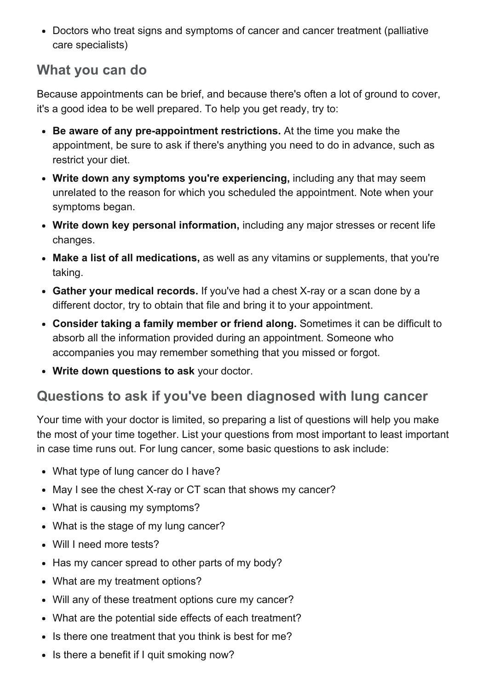Doctors who treat signs and symptoms of cancer and cancer treatment (palliative care specialists)

#### What you can do

Because appointments can be brief, and because there's often a lot of ground to cover, it's a good idea to be well prepared. To help you get ready, try to:

- Be aware of any pre-appointment restrictions. At the time you make the appointment, be sure to ask if there's anything you need to do in advance, such as restrict your diet.
- Write down any symptoms you're experiencing, including any that may seem unrelated to the reason for which you scheduled the appointment. Note when your symptoms began.
- Write down key personal information, including any major stresses or recent life changes.
- Make a list of all medications, as well as any vitamins or supplements, that you're taking.
- Gather your medical records. If you've had a chest X-ray or a scan done by a different doctor, try to obtain that file and bring it to your appointment.
- Consider taking a family member or friend along. Sometimes it can be difficult to absorb all the information provided during an appointment. Someone who accompanies you may remember something that you missed or forgot.
- Write down questions to ask your doctor.

#### Questions to ask if you've been diagnosed with lung cancer

Your time with your doctor is limited, so preparing a list of questions will help you make the most of your time together. List your questions from most important to least important in case time runs out. For lung cancer, some basic questions to ask include:

- What type of lung cancer do I have?
- May I see the chest X-ray or CT scan that shows my cancer?
- What is causing my symptoms?
- What is the stage of my lung cancer?
- Will I need more tests?
- Has my cancer spread to other parts of my body?
- What are my treatment options?
- Will any of these treatment options cure my cancer?
- What are the potential side effects of each treatment?
- Is there one treatment that you think is best for me?
- Is there a benefit if I quit smoking now?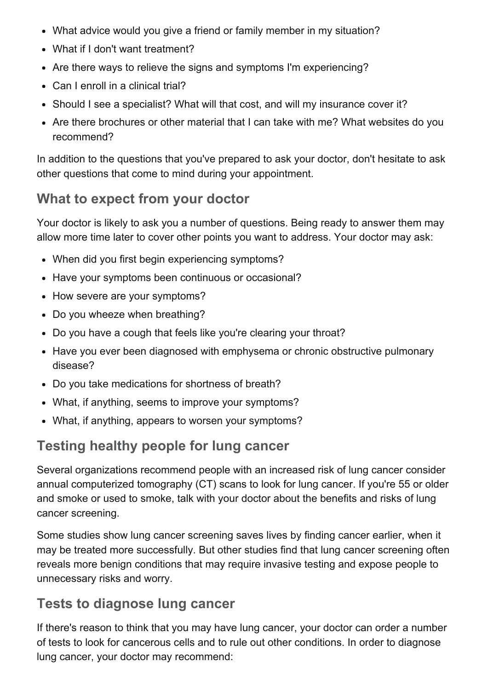- What advice would you give a friend or family member in my situation?
- What if I don't want treatment?
- Are there ways to relieve the signs and symptoms I'm experiencing?
- Can I enroll in a clinical trial?
- Should I see a specialist? What will that cost, and will my insurance cover it?
- Are there brochures or other material that I can take with me? What websites do you recommend?

In addition to the questions that you've prepared to ask your doctor, don't hesitate to ask other questions that come to mind during your appointment.

## What to expect from your doctor

Your doctor is likely to ask you a number of questions. Being ready to answer them may allow more time later to cover other points you want to address. Your doctor may ask:

- When did you first begin experiencing symptoms?
- Have your symptoms been continuous or occasional?
- How severe are your symptoms?
- Do you wheeze when breathing?
- Do you have a cough that feels like you're clearing your throat?
- Have you ever been diagnosed with emphysema or chronic obstructive pulmonary disease?
- Do you take medications for shortness of breath?
- What, if anything, seems to improve your symptoms?
- What, if anything, appears to worsen your symptoms?

# Testing healthy people for lung cancer

Several organizations recommend people with an increased risk of lung cancer consider annual computerized tomography (CT) scans to look for lung cancer. If you're 55 or older and smoke or used to smoke, talk with your doctor about the benefits and risks of lung cancer screening.

Some studies show lung cancer screening saves lives by finding cancer earlier, when it may be treated more successfully. But other studies find that lung cancer screening often reveals more benign conditions that may require invasive testing and expose people to unnecessary risks and worry.

## Tests to diagnose lung cancer

If there's reason to think that you may have lung cancer, your doctor can order a number of tests to look for cancerous cells and to rule out other conditions. In order to diagnose lung cancer, your doctor may recommend: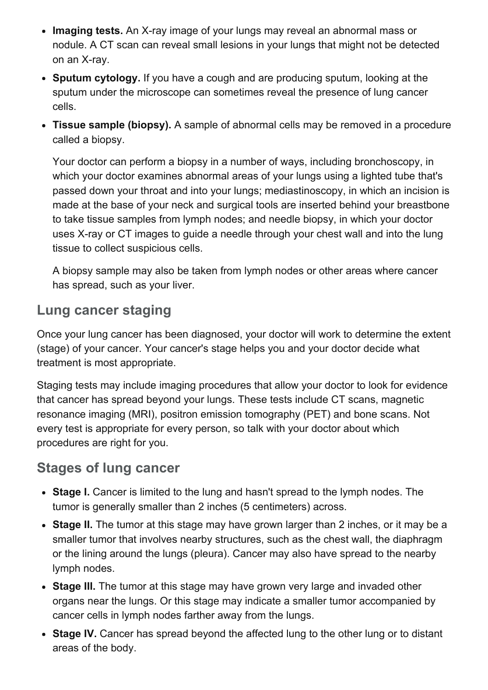- Imaging tests. An X-ray image of your lungs may reveal an abnormal mass or nodule. A CT scan can reveal small lesions in your lungs that might not be detected on an X-ray.
- Sputum cytology. If you have a cough and are producing sputum, looking at the sputum under the microscope can sometimes reveal the presence of lung cancer cells.
- Tissue sample (biopsy). A sample of abnormal cells may be removed in a procedure called a biopsy.

Your doctor can perform a biopsy in a number of ways, including bronchoscopy, in which your doctor examines abnormal areas of your lungs using a lighted tube that's passed down your throat and into your lungs; mediastinoscopy, in which an incision is made at the base of your neck and surgical tools are inserted behind your breastbone to take tissue samples from lymph nodes; and needle biopsy, in which your doctor uses X-ray or CT images to guide a needle through your chest wall and into the lung tissue to collect suspicious cells.

A biopsy sample may also be taken from lymph nodes or other areas where cancer has spread, such as your liver.

#### Lung cancer staging

Once your lung cancer has been diagnosed, your doctor will work to determine the extent (stage) of your cancer. Your cancer's stage helps you and your doctor decide what treatment is most appropriate.

Staging tests may include imaging procedures that allow your doctor to look for evidence that cancer has spread beyond your lungs. These tests include CT scans, magnetic resonance imaging (MRI), positron emission tomography (PET) and bone scans. Not every test is appropriate for every person, so talk with your doctor about which procedures are right for you.

#### Stages of lung cancer

- Stage I. Cancer is limited to the lung and hasn't spread to the lymph nodes. The tumor is generally smaller than 2 inches (5 centimeters) across.
- Stage II. The tumor at this stage may have grown larger than 2 inches, or it may be a smaller tumor that involves nearby structures, such as the chest wall, the diaphragm or the lining around the lungs (pleura). Cancer may also have spread to the nearby lymph nodes.
- Stage III. The tumor at this stage may have grown very large and invaded other organs near the lungs. Or this stage may indicate a smaller tumor accompanied by cancer cells in lymph nodes farther away from the lungs.
- Stage IV. Cancer has spread beyond the affected lung to the other lung or to distant areas of the body.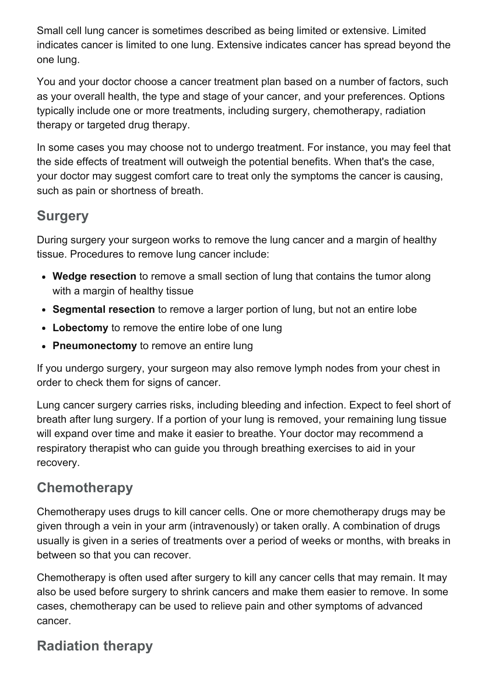Small cell lung cancer is sometimes described as being limited or extensive. Limited indicates cancer is limited to one lung. Extensive indicates cancer has spread beyond the one lung.

You and your doctor choose a cancer treatment plan based on a number of factors, such as your overall health, the type and stage of your cancer, and your preferences. Options typically include one or more treatments, including surgery, chemotherapy, radiation therapy or targeted drug therapy.

In some cases you may choose not to undergo treatment. For instance, you may feel that the side effects of treatment will outweigh the potential benefits. When that's the case, your doctor may suggest comfort care to treat only the symptoms the cancer is causing, such as pain or shortness of breath.

### **Surgery**

During surgery your surgeon works to remove the lung cancer and a margin of healthy tissue. Procedures to remove lung cancer include:

- Wedge resection to remove a small section of lung that contains the tumor along with a margin of healthy tissue
- Segmental resection to remove a larger portion of lung, but not an entire lobe
- Lobectomy to remove the entire lobe of one lung
- Pneumonectomy to remove an entire lung

If you undergo surgery, your surgeon may also remove lymph nodes from your chest in order to check them for signs of cancer.

Lung cancer surgery carries risks, including bleeding and infection. Expect to feel short of breath after lung surgery. If a portion of your lung is removed, your remaining lung tissue will expand over time and make it easier to breathe. Your doctor may recommend a respiratory therapist who can guide you through breathing exercises to aid in your recovery.

## **Chemotherapy**

Chemotherapy uses drugs to kill cancer cells. One or more chemotherapy drugs may be given through a vein in your arm (intravenously) or taken orally. A combination of drugs usually is given in a series of treatments over a period of weeks or months, with breaks in between so that you can recover.

Chemotherapy is often used after surgery to kill any cancer cells that may remain. It may also be used before surgery to shrink cancers and make them easier to remove. In some cases, chemotherapy can be used to relieve pain and other symptoms of advanced cancer.

## Radiation therapy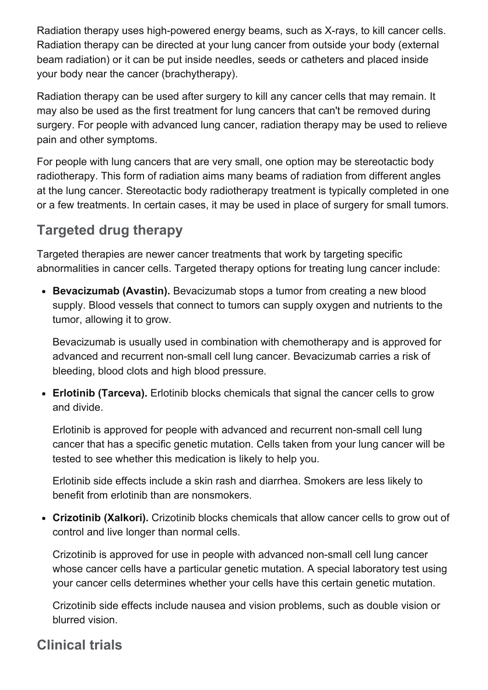Radiation therapy uses high-powered energy beams, such as X-rays, to kill cancer cells. Radiation therapy can be directed at your lung cancer from outside your body (external beam radiation) or it can be put inside needles, seeds or catheters and placed inside your body near the cancer (brachytherapy).

Radiation therapy can be used after surgery to kill any cancer cells that may remain. It may also be used as the first treatment for lung cancers that can't be removed during surgery. For people with advanced lung cancer, radiation therapy may be used to relieve pain and other symptoms.

For people with lung cancers that are very small, one option may be stereotactic body radiotherapy. This form of radiation aims many beams of radiation from different angles at the lung cancer. Stereotactic body radiotherapy treatment is typically completed in one or a few treatments. In certain cases, it may be used in place of surgery for small tumors.

## Targeted drug therapy

Targeted therapies are newer cancer treatments that work by targeting specific abnormalities in cancer cells. Targeted therapy options for treating lung cancer include:

• Bevacizumab (Avastin). Bevacizumab stops a tumor from creating a new blood supply. Blood vessels that connect to tumors can supply oxygen and nutrients to the tumor, allowing it to grow.

Bevacizumab is usually used in combination with chemotherapy and is approved for advanced and recurrent non-small cell lung cancer. Bevacizumab carries a risk of bleeding, blood clots and high blood pressure.

• Erlotinib (Tarceva). Erlotinib blocks chemicals that signal the cancer cells to grow and divide.

Erlotinib is approved for people with advanced and recurrent non-small cell lung cancer that has a specific genetic mutation. Cells taken from your lung cancer will be tested to see whether this medication is likely to help you.

Erlotinib side effects include a skin rash and diarrhea. Smokers are less likely to benefit from erlotinib than are nonsmokers.

Crizotinib (Xalkori). Crizotinib blocks chemicals that allow cancer cells to grow out of control and live longer than normal cells.

Crizotinib is approved for use in people with advanced non-small cell lung cancer whose cancer cells have a particular genetic mutation. A special laboratory test using your cancer cells determines whether your cells have this certain genetic mutation.

Crizotinib side effects include nausea and vision problems, such as double vision or blurred vision.

#### Clinical trials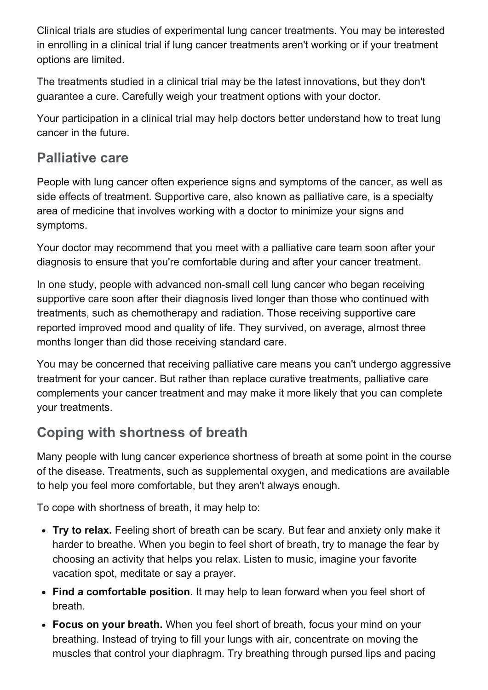Clinical trials are studies of experimental lung cancer treatments. You may be interested in enrolling in a clinical trial if lung cancer treatments aren't working or if your treatment options are limited.

The treatments studied in a clinical trial may be the latest innovations, but they don't guarantee a cure. Carefully weigh your treatment options with your doctor.

Your participation in a clinical trial may help doctors better understand how to treat lung cancer in the future.

#### Palliative care

People with lung cancer often experience signs and symptoms of the cancer, as well as side effects of treatment. Supportive care, also known as palliative care, is a specialty area of medicine that involves working with a doctor to minimize your signs and symptoms.

Your doctor may recommend that you meet with a palliative care team soon after your diagnosis to ensure that you're comfortable during and after your cancer treatment.

In one study, people with advanced non-small cell lung cancer who began receiving supportive care soon after their diagnosis lived longer than those who continued with treatments, such as chemotherapy and radiation. Those receiving supportive care reported improved mood and quality of life. They survived, on average, almost three months longer than did those receiving standard care.

You may be concerned that receiving palliative care means you can't undergo aggressive treatment for your cancer. But rather than replace curative treatments, palliative care complements your cancer treatment and may make it more likely that you can complete your treatments.

## Coping with shortness of breath

Many people with lung cancer experience shortness of breath at some point in the course of the disease. Treatments, such as supplemental oxygen, and medications are available to help you feel more comfortable, but they aren't always enough.

To cope with shortness of breath, it may help to:

- Try to relax. Feeling short of breath can be scary. But fear and anxiety only make it harder to breathe. When you begin to feel short of breath, try to manage the fear by choosing an activity that helps you relax. Listen to music, imagine your favorite vacation spot, meditate or say a prayer.
- Find a comfortable position. It may help to lean forward when you feel short of breath.
- Focus on your breath. When you feel short of breath, focus your mind on your breathing. Instead of trying to fill your lungs with air, concentrate on moving the muscles that control your diaphragm. Try breathing through pursed lips and pacing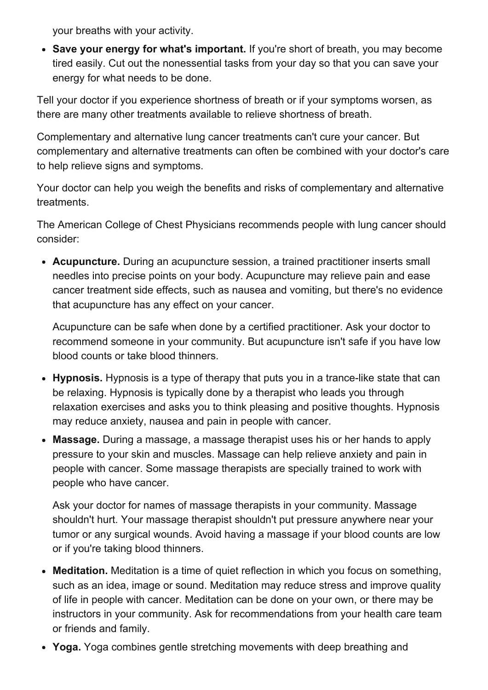your breaths with your activity.

• Save your energy for what's important. If you're short of breath, you may become tired easily. Cut out the nonessential tasks from your day so that you can save your energy for what needs to be done.

Tell your doctor if you experience shortness of breath or if your symptoms worsen, as there are many other treatments available to relieve shortness of breath.

Complementary and alternative lung cancer treatments can't cure your cancer. But complementary and alternative treatments can often be combined with your doctor's care to help relieve signs and symptoms.

Your doctor can help you weigh the benefits and risks of complementary and alternative treatments.

The American College of Chest Physicians recommends people with lung cancer should consider:

• Acupuncture. During an acupuncture session, a trained practitioner inserts small needles into precise points on your body. Acupuncture may relieve pain and ease cancer treatment side effects, such as nausea and vomiting, but there's no evidence that acupuncture has any effect on your cancer.

Acupuncture can be safe when done by a certified practitioner. Ask your doctor to recommend someone in your community. But acupuncture isn't safe if you have low blood counts or take blood thinners.

- Hypnosis. Hypnosis is a type of therapy that puts you in a trance-like state that can be relaxing. Hypnosis is typically done by a therapist who leads you through relaxation exercises and asks you to think pleasing and positive thoughts. Hypnosis may reduce anxiety, nausea and pain in people with cancer.
- Massage. During a massage, a massage therapist uses his or her hands to apply pressure to your skin and muscles. Massage can help relieve anxiety and pain in people with cancer. Some massage therapists are specially trained to work with people who have cancer.

Ask your doctor for names of massage therapists in your community. Massage shouldn't hurt. Your massage therapist shouldn't put pressure anywhere near your tumor or any surgical wounds. Avoid having a massage if your blood counts are low or if you're taking blood thinners.

- Meditation. Meditation is a time of quiet reflection in which you focus on something, such as an idea, image or sound. Meditation may reduce stress and improve quality of life in people with cancer. Meditation can be done on your own, or there may be instructors in your community. Ask for recommendations from your health care team or friends and family.
- Yoga. Yoga combines gentle stretching movements with deep breathing and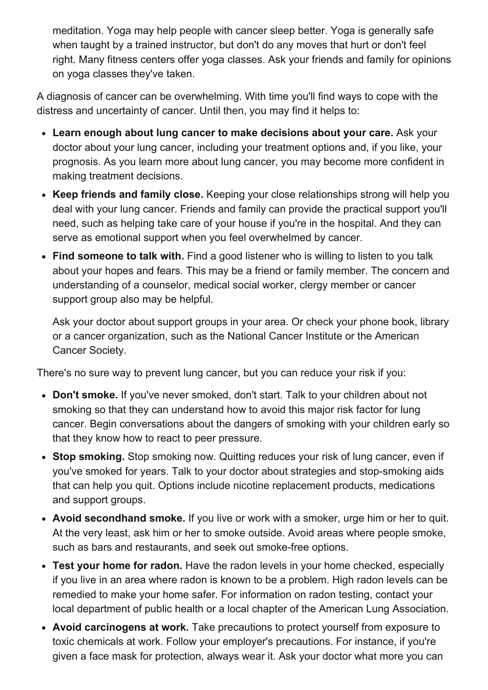meditation. Yoga may help people with cancer sleep better. Yoga is generally safe when taught by a trained instructor, but don't do any moves that hurt or don't feel right. Many fitness centers offer yoga classes. Ask your friends and family for opinions on yoga classes they've taken.

A diagnosis of cancer can be overwhelming. With time you'll find ways to cope with the distress and uncertainty of cancer. Until then, you may find it helps to:

- Learn enough about lung cancer to make decisions about your care. Ask your doctor about your lung cancer, including your treatment options and, if you like, your prognosis. As you learn more about lung cancer, you may become more confident in making treatment decisions.
- Keep friends and family close. Keeping your close relationships strong will help you deal with your lung cancer. Friends and family can provide the practical support you'll need, such as helping take care of your house if you're in the hospital. And they can serve as emotional support when you feel overwhelmed by cancer.
- Find someone to talk with. Find a good listener who is willing to listen to you talk about your hopes and fears. This may be a friend or family member. The concern and understanding of a counselor, medical social worker, clergy member or cancer support group also may be helpful.

Ask your doctor about support groups in your area. Or check your phone book, library or a cancer organization, such as the National Cancer Institute or the American Cancer Society.

There's no sure way to prevent lung cancer, but you can reduce your risk if you:

- Don't smoke. If you've never smoked, don't start. Talk to your children about not smoking so that they can understand how to avoid this major risk factor for lung cancer. Begin conversations about the dangers of smoking with your children early so that they know how to react to peer pressure.
- Stop smoking. Stop smoking now. Quitting reduces your risk of lung cancer, even if you've smoked for years. Talk to your doctor about strategies and stop-smoking aids that can help you quit. Options include nicotine replacement products, medications and support groups.
- Avoid secondhand smoke. If you live or work with a smoker, urge him or her to quit. At the very least, ask him or her to smoke outside. Avoid areas where people smoke, such as bars and restaurants, and seek out smoke-free options.
- Test your home for radon. Have the radon levels in your home checked, especially if you live in an area where radon is known to be a problem. High radon levels can be remedied to make your home safer. For information on radon testing, contact your local department of public health or a local chapter of the American Lung Association.
- Avoid carcinogens at work. Take precautions to protect yourself from exposure to toxic chemicals at work. Follow your employer's precautions. For instance, if you're given a face mask for protection, always wear it. Ask your doctor what more you can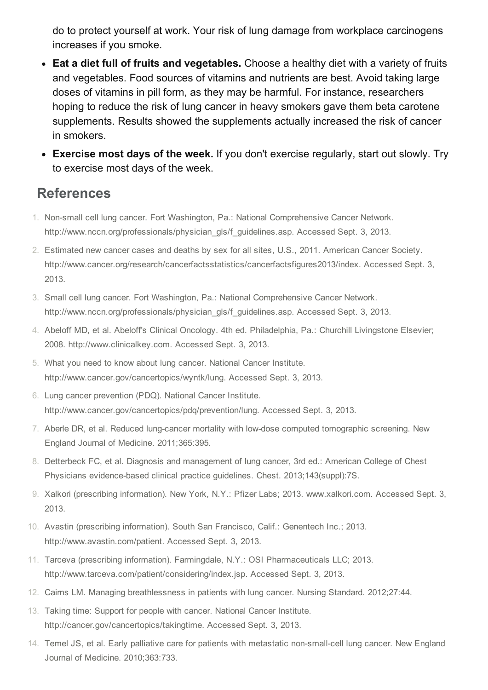do to protect yourself at work. Your risk of lung damage from workplace carcinogens increases if you smoke.

- Eat a diet full of fruits and vegetables. Choose a healthy diet with a variety of fruits and vegetables. Food sources of vitamins and nutrients are best. Avoid taking large doses of vitamins in pill form, as they may be harmful. For instance, researchers hoping to reduce the risk of lung cancer in heavy smokers gave them beta carotene supplements. Results showed the supplements actually increased the risk of cancer in smokers.
- Exercise most days of the week. If you don't exercise regularly, start out slowly. Try to exercise most days of the week.

#### References

- 1. Non-small cell lung cancer. Fort Washington, Pa.: National Comprehensive Cancer Network. http://www.nccn.org/professionals/physician\_gls/f\_guidelines.asp. Accessed Sept. 3, 2013.
- 2. Estimated new cancer cases and deaths by sex for all sites, U.S., 2011. American Cancer Society. http://www.cancer.org/research/cancerfactsstatistics/cancerfactsfigures2013/index. Accessed Sept. 3, 2013.
- 3. Small cell lung cancer. Fort Washington, Pa.: National Comprehensive Cancer Network. http://www.nccn.org/professionals/physician\_gls/f\_guidelines.asp. Accessed Sept. 3, 2013.
- 4. Abeloff MD, et al. Abeloff's Clinical Oncology. 4th ed. Philadelphia, Pa.: Churchill Livingstone Elsevier; 2008. http://www.clinicalkey.com. Accessed Sept. 3, 2013.
- 5. What you need to know about lung cancer. National Cancer Institute. http://www.cancer.gov/cancertopics/wyntk/lung. Accessed Sept. 3, 2013.
- 6. Lung cancer prevention (PDQ). National Cancer Institute. http://www.cancer.gov/cancertopics/pdq/prevention/lung. Accessed Sept. 3, 2013.
- 7. Aberle DR, et al. Reduced lung-cancer mortality with low-dose computed tomographic screening. New England Journal of Medicine. 2011;365:395.
- 8. Detterbeck FC, et al. Diagnosis and management of lung cancer, 3rd ed.: American College of Chest Physicians evidence-based clinical practice guidelines. Chest. 2013;143(suppl):7S.
- 9. Xalkori (prescribing information). New York, N.Y.: Pfizer Labs; 2013. www.xalkori.com. Accessed Sept. 3, 2013.
- 10. Avastin (prescribing information). South San Francisco, Calif.: Genentech Inc.; 2013. http://www.avastin.com/patient. Accessed Sept. 3, 2013.
- 11. Tarceva (prescribing information). Farmingdale, N.Y.: OSI Pharmaceuticals LLC; 2013. http://www.tarceva.com/patient/considering/index.jsp. Accessed Sept. 3, 2013.
- 12. Cairns LM. Managing breathlessness in patients with lung cancer. Nursing Standard. 2012;27:44.
- 13. Taking time: Support for people with cancer. National Cancer Institute. http://cancer.gov/cancertopics/takingtime. Accessed Sept. 3, 2013.
- 14. Temel JS, et al. Early palliative care for patients with metastatic non-small-cell lung cancer. New England Journal of Medicine. 2010;363:733.